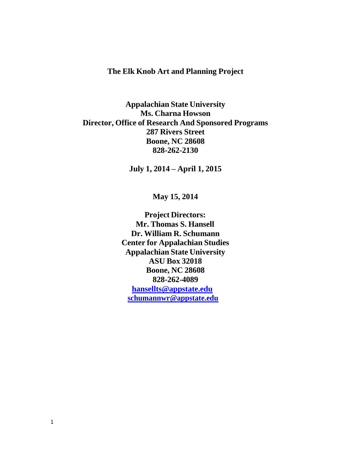# **The Elk Knob Art and Planning Project**

**Appalachian State University Ms. Charna Howson Director, Office of Research And Sponsored Programs 287 Rivers Street Boone, NC 28608 828-262-2130**

**July 1, 2014 – April 1, 2015**

**May 15, 2014**

**Project Directors: Mr. Thomas S. Hansell Dr. William R. Schumann Center for Appalachian Studies Appalachian State University ASU Box 32018 Boone, NC 28608 828-262-4089 [hansellts@appstate.edu](mailto:hansellts@appstate.edu) [schumannwr@appstate.edu](mailto:schumannwr@appstate.edu)**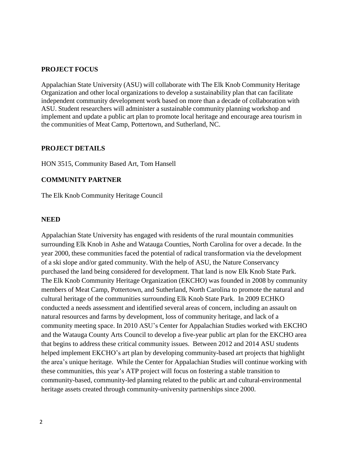#### **PROJECT FOCUS**

Appalachian State University (ASU) will collaborate with The Elk Knob Community Heritage Organization and other local organizations to develop a sustainability plan that can facilitate independent community development work based on more than a decade of collaboration with ASU. Student researchers will administer a sustainable community planning workshop and implement and update a public art plan to promote local heritage and encourage area tourism in the communities of Meat Camp, Pottertown, and Sutherland, NC.

#### **PROJECT DETAILS**

HON 3515, Community Based Art, Tom Hansell

### **COMMUNITY PARTNER**

The Elk Knob Community Heritage Council

#### **NEED**

Appalachian State University has engaged with residents of the rural mountain communities surrounding Elk Knob in Ashe and Watauga Counties, North Carolina for over a decade. In the year 2000, these communities faced the potential of radical transformation via the development of a ski slope and/or gated community. With the help of ASU, the Nature Conservancy purchased the land being considered for development. That land is now Elk Knob State Park. The Elk Knob Community Heritage Organization (EKCHO) was founded in 2008 by community members of Meat Camp, Pottertown, and Sutherland, North Carolina to promote the natural and cultural heritage of the communities surrounding Elk Knob State Park. In 2009 ECHKO conducted a needs assessment and identified several areas of concern, including an assault on natural resources and farms by development, loss of community heritage, and lack of a community meeting space. In 2010 ASU's Center for Appalachian Studies worked with EKCHO and the Watauga County Arts Council to develop a five-year public art plan for the EKCHO area that begins to address these critical community issues. Between 2012 and 2014 ASU students helped implement EKCHO's art plan by developing community-based art projects that highlight the area's unique heritage. While the Center for Appalachian Studies will continue working with these communities, this year's ATP project will focus on fostering a stable transition to community-based, community-led planning related to the public art and cultural-environmental heritage assets created through community-university partnerships since 2000.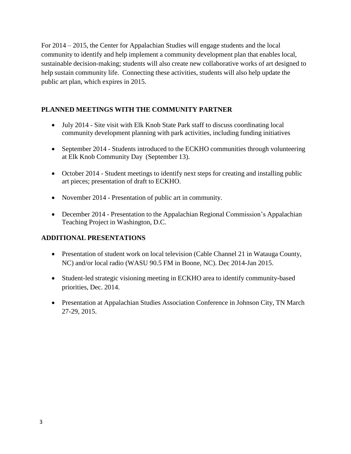For 2014 – 2015, the Center for Appalachian Studies will engage students and the local community to identify and help implement a community development plan that enables local, sustainable decision-making; students will also create new collaborative works of art designed to help sustain community life. Connecting these activities, students will also help update the public art plan, which expires in 2015.

# **PLANNED MEETINGS WITH THE COMMUNITY PARTNER**

- July 2014 Site visit with Elk Knob State Park staff to discuss coordinating local community development planning with park activities, including funding initiatives
- September 2014 Students introduced to the ECKHO communities through volunteering at Elk Knob Community Day (September 13).
- October 2014 Student meetings to identify next steps for creating and installing public art pieces; presentation of draft to ECKHO.
- November 2014 Presentation of public art in community.
- December 2014 Presentation to the Appalachian Regional Commission's Appalachian Teaching Project in Washington, D.C.

### **ADDITIONAL PRESENTATIONS**

- Presentation of student work on local television (Cable Channel 21 in Watauga County, NC) and/or local radio (WASU 90.5 FM in Boone, NC). Dec 2014-Jan 2015.
- Student-led strategic visioning meeting in ECKHO area to identify community-based priorities, Dec. 2014.
- Presentation at Appalachian Studies Association Conference in Johnson City, TN March 27-29, 2015.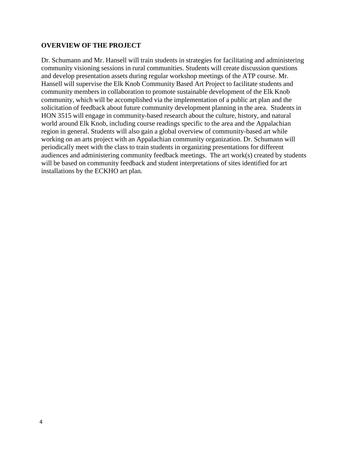#### **OVERVIEW OF THE PROJECT**

Dr. Schumann and Mr. Hansell will train students in strategies for facilitating and administering community visioning sessions in rural communities. Students will create discussion questions and develop presentation assets during regular workshop meetings of the ATP course. Mr. Hansell will supervise the Elk Knob Community Based Art Project to facilitate students and community members in collaboration to promote sustainable development of the Elk Knob community, which will be accomplished via the implementation of a public art plan and the solicitation of feedback about future community development planning in the area. Students in HON 3515 will engage in community-based research about the culture, history, and natural world around Elk Knob, including course readings specific to the area and the Appalachian region in general. Students will also gain a global overview of community-based art while working on an arts project with an Appalachian community organization. Dr. Schumann will periodically meet with the class to train students in organizing presentations for different audiences and administering community feedback meetings. The art work(s) created by students will be based on community feedback and student interpretations of sites identified for art installations by the ECKHO art plan.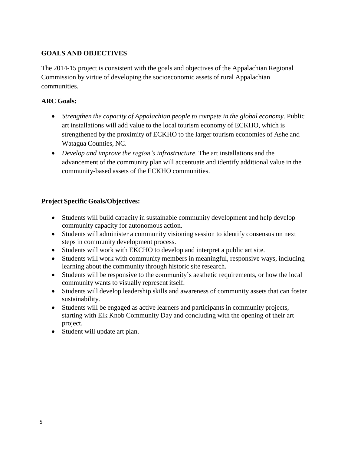# **GOALS AND OBJECTIVES**

The 2014-15 project is consistent with the goals and objectives of the Appalachian Regional Commission by virtue of developing the socioeconomic assets of rural Appalachian communities.

### **ARC Goals:**

- *Strengthen the capacity of Appalachian people to compete in the global economy.* Public art installations will add value to the local tourism economy of ECKHO, which is strengthened by the proximity of ECKHO to the larger tourism economies of Ashe and Watagua Counties, NC.
- *Develop and improve the region's infrastructure.* The art installations and the advancement of the community plan will accentuate and identify additional value in the community-based assets of the ECKHO communities.

### **Project Specific Goals/Objectives:**

- Students will build capacity in sustainable community development and help develop community capacity for autonomous action.
- Students will administer a community visioning session to identify consensus on next steps in community development process.
- Students will work with EKCHO to develop and interpret a public art site.
- Students will work with community members in meaningful, responsive ways, including learning about the community through historic site research.
- Students will be responsive to the community's aesthetic requirements, or how the local community wants to visually represent itself.
- Students will develop leadership skills and awareness of community assets that can foster sustainability.
- Students will be engaged as active learners and participants in community projects, starting with Elk Knob Community Day and concluding with the opening of their art project.
- Student will update art plan.